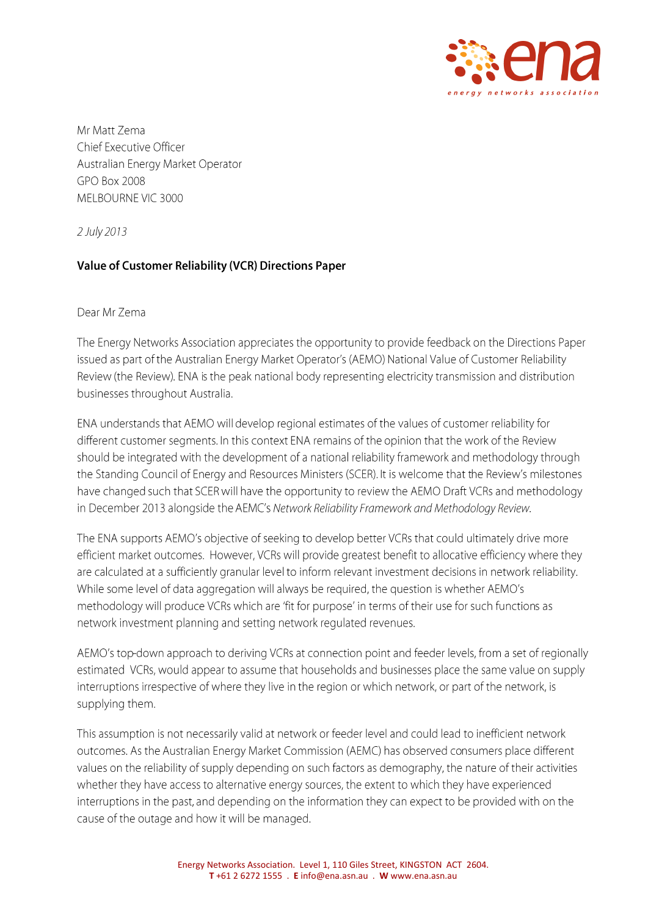

Mr Matt Zema Chief Executive Officer Australian Energy Market Operator GPO Box 2008 MELBOURNE VIC 3000

2 July 2013

# **Value of Customer Reliability (VCR) Directions Paper**

### Dear Mr Zema

The Energy Networks Association appreciates the opportunity to provide feedback on the Directions Paper issued as part of the Australian Energy Market Operator's (AEMO) National Value of Customer Reliability Review (the Review). ENA is the peak national body representing electricity transmission and distribution businesses throughout Australia.

ENA understands that AEMO will develop regional estimates of the values of customer reliability for different customer segments. In this context ENA remains of the opinion that the work of the Review should be integrated with the development of a national reliability framework and methodology through the Standing Council of Energy and Resources Ministers (SCER). It is welcome that the Review's milestones have changed such that SCER will have the opportunity to review the AEMO Draft VCRs and methodology in December 2013 alongside the AEMC's Network Reliability Framework and Methodology Review.

The ENA supports AEMO's objective of seeking to develop better VCRs that could ultimately drive more efficient market outcomes. However, VCRs will provide greatest benefit to allocative efficiency where they are calculated at a sufficiently granular level to inform relevant investment decisions in network reliability. While some level of data aggregation will always be required, the question is whether AEMO's methodology will produce VCRs which are 'fit for purpose' in terms of their use for such functions as network investment planning and setting network regulated revenues.

AEMO's top-down approach to deriving VCRs at connection point and feeder levels, from a set of regionally estimated VCRs, would appear to assume that households and businesses place the same value on supply interruptions irrespective of where they live in the region or which network, or part of the network, is supplying them.

This assumption is not necessarily valid at network or feeder level and could lead to inefficient network outcomes. As the Australian Energy Market Commission (AEMC) has observed consumers place different values on the reliability of supply depending on such factors as demography, the nature of their activities whether they have access to alternative energy sources, the extent to which they have experienced interruptions in the past, and depending on the information they can expect to be provided with on the cause of the outage and how it will be managed.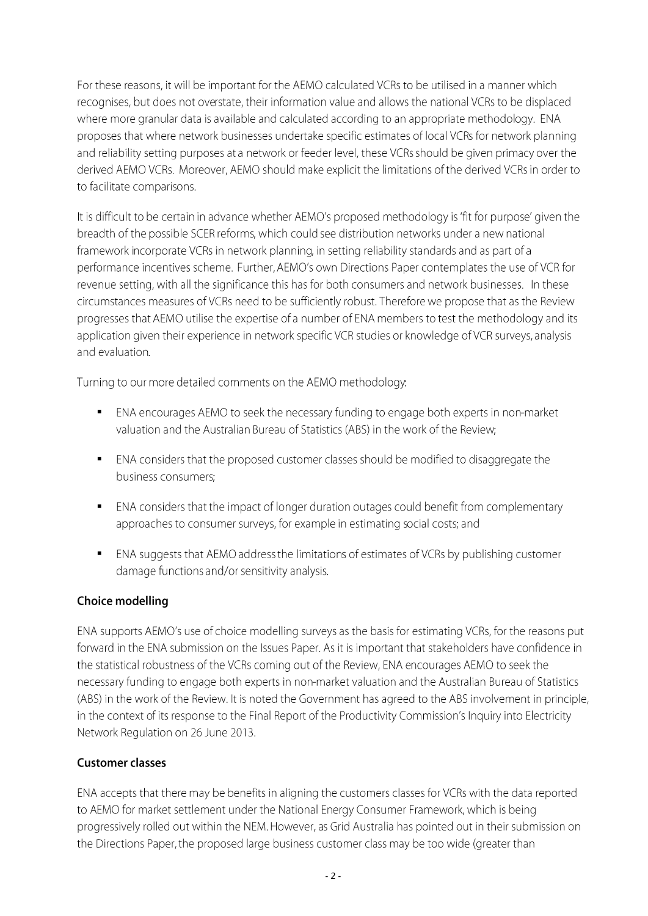For these reasons, it will be important for the AEMO calculated VCRs to be utilised in a manner which recognises, but does not overstate, their information value and allows the national VCRs to be displaced where more granular data is available and calculated according to an appropriate methodology. ENA proposes that where network businesses undertake specific estimates of local VCRs for network planning and reliability setting purposes at a network or feeder level, these VCRs should be given primacy over the derived AEMO VCRs. Moreover, AEMO should make explicit the limitations of the derived VCRs in order to to facilitate comparisons.

It is difficult to be certain in advance whether AEMO's proposed methodology is 'fit for purpose' given the breadth of the possible SCER reforms, which could see distribution networks under a new national framework incorporate VCRs in network planning, in setting reliability standards and as part of a performance incentives scheme. Further, AEMO's own Directions Paper contemplates the use of VCR for revenue setting, with all the significance this has for both consumers and network businesses. In these circumstances measures of VCRs need to be sufficiently robust. Therefore we propose that as the Review progresses that AEMO utilise the expertise of a number of ENA members to test the methodology and its application given their experience in network specific VCR studies or knowledge of VCR surveys, analysis and evaluation.

Turning to our more detailed comments on the AEMO methodology:

- ENA encourages AEMO to seek the necessary funding to engage both experts in non-market valuation and the Australian Bureau of Statistics (ABS) in the work of the Review;
- ENA considers that the proposed customer classes should be modified to disaggregate the business consumers:
- ENA considers that the impact of longer duration outages could benefit from complementary approaches to consumer surveys, for example in estimating social costs; and
- ENA suggests that AEMO address the limitations of estimates of VCRs by publishing customer damage functions and/or sensitivity analysis.

# Choice modelling

ENA supports AEMO's use of choice modelling surveys as the basis for estimating VCRs, for the reasons put forward in the ENA submission on the Issues Paper. As it is important that stakeholders have confidence in the statistical robustness of the VCRs coming out of the Review, ENA encourages AEMO to seek the necessary funding to engage both experts in non-market valuation and the Australian Bureau of Statistics (ABS) in the work of the Review. It is noted the Government has agreed to the ABS involvement in principle, in the context of its response to the Final Report of the Productivity Commission's Inquiry into Electricity Network Regulation on 26 June 2013.

# **Customer classes**

ENA accepts that there may be benefits in aligning the customers classes for VCRs with the data reported to AEMO for market settlement under the National Energy Consumer Framework, which is being progressively rolled out within the NEM. However, as Grid Australia has pointed out in their submission on the Directions Paper, the proposed large business customer class may be too wide (greater than